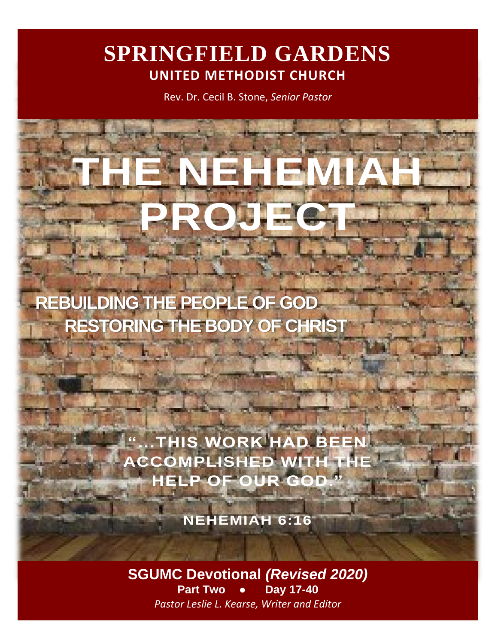# **SPRINGFIELD GARDENS UNITED METHODIST CHURCH**

Rev. Dr. Cecil B. Stone, *Senior Pastor*

**THE NEHEMIAH** 

**PROJECT**

 **REBUILDING THE PEOPLE OF GOD RESTORING THE BODY OF CHRIST**

> **"...THIS WORK HAD E ACCOMPLISHED WITH HELP OF OUR GOD."**

> > **NEHEMIAH 6:16**

**SGUMC Devotional** *(Revised 2020)* **Part Two ● Day 17-40** *Pastor Leslie L. Kearse, Writer and Editor*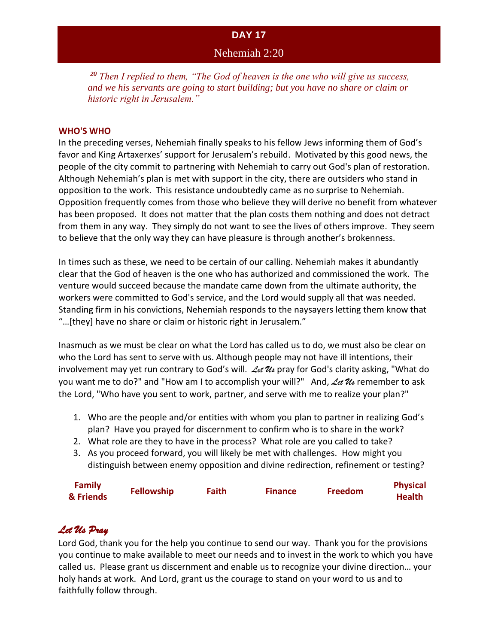### Nehemiah 2:20

*<sup>20</sup> Then I replied to them, "The God of heaven is the one who will give us success, and we his servants are going to start building; but you have no share or claim or historic right in Jerusalem."*

#### **WHO'S WHO**

In the preceding verses, Nehemiah finally speaks to his fellow Jews informing them of God's favor and King Artaxerxes' support for Jerusalem's rebuild. Motivated by this good news, the people of the city commit to partnering with Nehemiah to carry out God's plan of restoration. Although Nehemiah's plan is met with support in the city, there are outsiders who stand in opposition to the work. This resistance undoubtedly came as no surprise to Nehemiah. Opposition frequently comes from those who believe they will derive no benefit from whatever has been proposed. It does not matter that the plan costs them nothing and does not detract from them in any way. They simply do not want to see the lives of others improve. They seem to believe that the only way they can have pleasure is through another's brokenness.

In times such as these, we need to be certain of our calling. Nehemiah makes it abundantly clear that the God of heaven is the one who has authorized and commissioned the work. The venture would succeed because the mandate came down from the ultimate authority, the workers were committed to God's service, and the Lord would supply all that was needed. Standing firm in his convictions, Nehemiah responds to the naysayers letting them know that "…[they] have no share or claim or historic right in Jerusalem."

Inasmuch as we must be clear on what the Lord has called us to do, we must also be clear on who the Lord has sent to serve with us. Although people may not have ill intentions, their involvement may yet run contrary to God's will. *Let Us* pray for God's clarity asking, "What do you want me to do?" and "How am I to accomplish your will?" And, *Let Us* remember to ask the Lord, "Who have you sent to work, partner, and serve with me to realize your plan?"

- 1. Who are the people and/or entities with whom you plan to partner in realizing God's plan? Have you prayed for discernment to confirm who is to share in the work?
- 2. What role are they to have in the process? What role are you called to take?
- 3. As you proceed forward, you will likely be met with challenges. How might you distinguish between enemy opposition and divine redirection, refinement or testing?

| <b>Family</b> | <b>Fellowship</b> | Faith | <b>Finance</b> | <b>Freedom</b> | <b>Physical</b> |
|---------------|-------------------|-------|----------------|----------------|-----------------|
| & Friends     |                   |       |                |                | <b>Health</b>   |

# *Let Us Pray*

Lord God, thank you for the help you continue to send our way. Thank you for the provisions you continue to make available to meet our needs and to invest in the work to which you have called us. Please grant us discernment and enable us to recognize your divine direction… your holy hands at work. And Lord, grant us the courage to stand on your word to us and to faithfully follow through.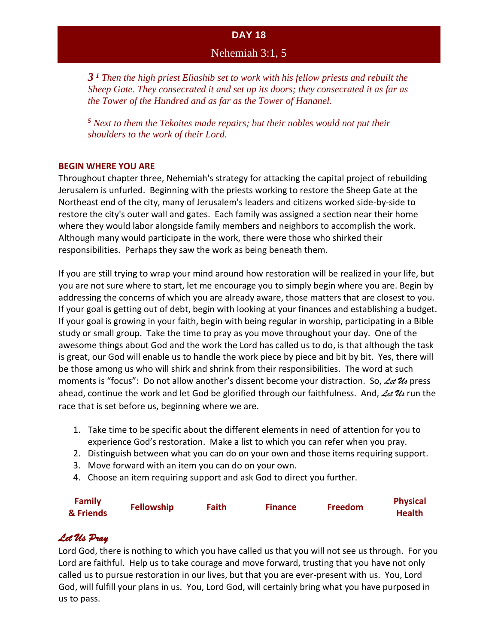### Nehemiah 3:1, 5

*3 <sup>1</sup> Then the high priest Eliashib set to work with his fellow priests and rebuilt the Sheep Gate. They consecrated it and set up its doors; they consecrated it as far as the Tower of the Hundred and as far as the Tower of Hananel.*

*<sup>5</sup> Next to them the Tekoites made repairs; but their nobles would not put their shoulders to the work of their Lord.*

#### **BEGIN WHERE YOU ARE**

Throughout chapter three, Nehemiah's strategy for attacking the capital project of rebuilding Jerusalem is unfurled. Beginning with the priests working to restore the Sheep Gate at the Northeast end of the city, many of Jerusalem's leaders and citizens worked side-by-side to restore the city's outer wall and gates. Each family was assigned a section near their home where they would labor alongside family members and neighbors to accomplish the work. Although many would participate in the work, there were those who shirked their responsibilities. Perhaps they saw the work as being beneath them.

If you are still trying to wrap your mind around how restoration will be realized in your life, but you are not sure where to start, let me encourage you to simply begin where you are. Begin by addressing the concerns of which you are already aware, those matters that are closest to you. If your goal is getting out of debt, begin with looking at your finances and establishing a budget. If your goal is growing in your faith, begin with being regular in worship, participating in a Bible study or small group. Take the time to pray as you move throughout your day. One of the awesome things about God and the work the Lord has called us to do, is that although the task is great, our God will enable us to handle the work piece by piece and bit by bit. Yes, there will be those among us who will shirk and shrink from their responsibilities. The word at such moments is "focus": Do not allow another's dissent become your distraction. So, *Let Us* press ahead, continue the work and let God be glorified through our faithfulness. And, *Let Us* run the race that is set before us, beginning where we are.

- 1. Take time to be specific about the different elements in need of attention for you to experience God's restoration. Make a list to which you can refer when you pray.
- 2. Distinguish between what you can do on your own and those items requiring support.
- 3. Move forward with an item you can do on your own.
- 4. Choose an item requiring support and ask God to direct you further.

| <b>Family</b> | <b>Fellowship</b> | <b>Faith</b> | <b>Finance</b> | Freedom | <b>Physical</b> |
|---------------|-------------------|--------------|----------------|---------|-----------------|
| & Friends     |                   |              |                |         | <b>Health</b>   |

# *Let Us Pray*

Lord God, there is nothing to which you have called us that you will not see us through. For you Lord are faithful. Help us to take courage and move forward, trusting that you have not only called us to pursue restoration in our lives, but that you are ever-present with us. You, Lord God, will fulfill your plans in us. You, Lord God, will certainly bring what you have purposed in us to pass.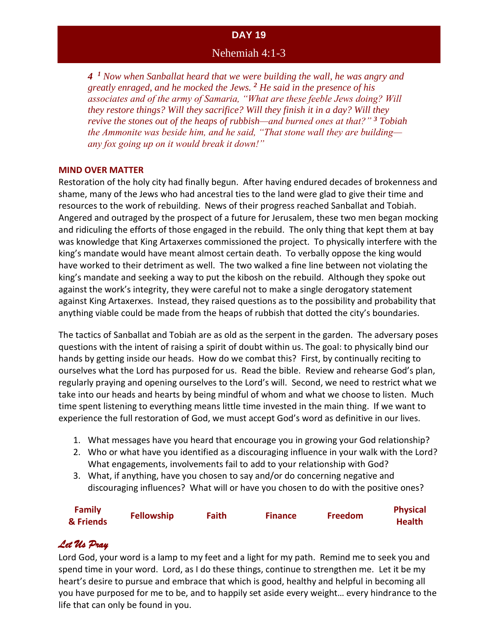Nehemiah 4:1-3

*4 <sup>1</sup> Now when Sanballat heard that we were building the wall, he was angry and greatly enraged, and he mocked the Jews. <sup>2</sup> He said in the presence of his associates and of the army of Samaria, "What are these feeble Jews doing? Will they restore things? Will they sacrifice? Will they finish it in a day? Will they revive the stones out of the heaps of rubbish—and burned ones at that?" <sup>3</sup> Tobiah the Ammonite was beside him, and he said, "That stone wall they are building any fox going up on it would break it down!"*

#### **MIND OVER MATTER**

Restoration of the holy city had finally begun. After having endured decades of brokenness and shame, many of the Jews who had ancestral ties to the land were glad to give their time and resources to the work of rebuilding. News of their progress reached Sanballat and Tobiah. Angered and outraged by the prospect of a future for Jerusalem, these two men began mocking and ridiculing the efforts of those engaged in the rebuild. The only thing that kept them at bay was knowledge that King Artaxerxes commissioned the project. To physically interfere with the king's mandate would have meant almost certain death. To verbally oppose the king would have worked to their detriment as well. The two walked a fine line between not violating the king's mandate and seeking a way to put the kibosh on the rebuild. Although they spoke out against the work's integrity, they were careful not to make a single derogatory statement against King Artaxerxes. Instead, they raised questions as to the possibility and probability that anything viable could be made from the heaps of rubbish that dotted the city's boundaries.

The tactics of Sanballat and Tobiah are as old as the serpent in the garden. The adversary poses questions with the intent of raising a spirit of doubt within us. The goal: to physically bind our hands by getting inside our heads. How do we combat this? First, by continually reciting to ourselves what the Lord has purposed for us. Read the bible. Review and rehearse God's plan, regularly praying and opening ourselves to the Lord's will. Second, we need to restrict what we take into our heads and hearts by being mindful of whom and what we choose to listen. Much time spent listening to everything means little time invested in the main thing. If we want to experience the full restoration of God, we must accept God's word as definitive in our lives.

- 1. What messages have you heard that encourage you in growing your God relationship?
- 2. Who or what have you identified as a discouraging influence in your walk with the Lord? What engagements, involvements fail to add to your relationship with God?
- 3. What, if anything, have you chosen to say and/or do concerning negative and discouraging influences? What will or have you chosen to do with the positive ones?

| <b>Family</b> | <b>Fellowship</b> | <b>Faith</b> | <b>Finance</b> | <b>Freedom</b> | <b>Physical</b> |
|---------------|-------------------|--------------|----------------|----------------|-----------------|
| & Friends     |                   |              |                |                | <b>Health</b>   |

# *Let Us Pray*

Lord God, your word is a lamp to my feet and a light for my path. Remind me to seek you and spend time in your word. Lord, as I do these things, continue to strengthen me. Let it be my heart's desire to pursue and embrace that which is good, healthy and helpful in becoming all you have purposed for me to be, and to happily set aside every weight… every hindrance to the life that can only be found in you.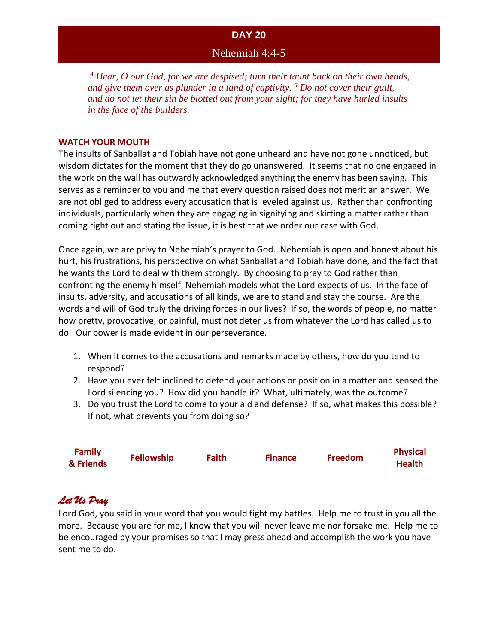### Nehemiah 4:4-5

*<sup>4</sup> Hear, O our God, for we are despised; turn their taunt back on their own heads, and give them over as plunder in a land of captivity. <sup>5</sup> Do not cover their guilt, and do not let their sin be blotted out from your sight; for they have hurled insults in the face of the builders.*

#### **WATCH YOUR MOUTH**

The insults of Sanballat and Tobiah have not gone unheard and have not gone unnoticed, but wisdom dictates for the moment that they do go unanswered. It seems that no one engaged in the work on the wall has outwardly acknowledged anything the enemy has been saying. This serves as a reminder to you and me that every question raised does not merit an answer. We are not obliged to address every accusation that is leveled against us. Rather than confronting individuals, particularly when they are engaging in signifying and skirting a matter rather than coming right out and stating the issue, it is best that we order our case with God.

Once again, we are privy to Nehemiah's prayer to God. Nehemiah is open and honest about his hurt, his frustrations, his perspective on what Sanballat and Tobiah have done, and the fact that he wants the Lord to deal with them strongly. By choosing to pray to God rather than confronting the enemy himself, Nehemiah models what the Lord expects of us. In the face of insults, adversity, and accusations of all kinds, we are to stand and stay the course. Are the words and will of God truly the driving forces in our lives? If so, the words of people, no matter how pretty, provocative, or painful, must not deter us from whatever the Lord has called us to do. Our power is made evident in our perseverance.

- 1. When it comes to the accusations and remarks made by others, how do you tend to respond?
- 2. Have you ever felt inclined to defend your actions or position in a matter and sensed the Lord silencing you? How did you handle it? What, ultimately, was the outcome?
- 3. Do you trust the Lord to come to your aid and defense? If so, what makes this possible? If not, what prevents you from doing so?

| <b>Family</b> |                   |              |                | <b>Freedom</b> | <b>Physical</b> |
|---------------|-------------------|--------------|----------------|----------------|-----------------|
| & Friends     | <b>Fellowship</b> | <b>Faith</b> | <b>Finance</b> |                | <b>Health</b>   |

# *Let Us Pray*

Lord God, you said in your word that you would fight my battles. Help me to trust in you all the more. Because you are for me, I know that you will never leave me nor forsake me. Help me to be encouraged by your promises so that I may press ahead and accomplish the work you have sent me to do.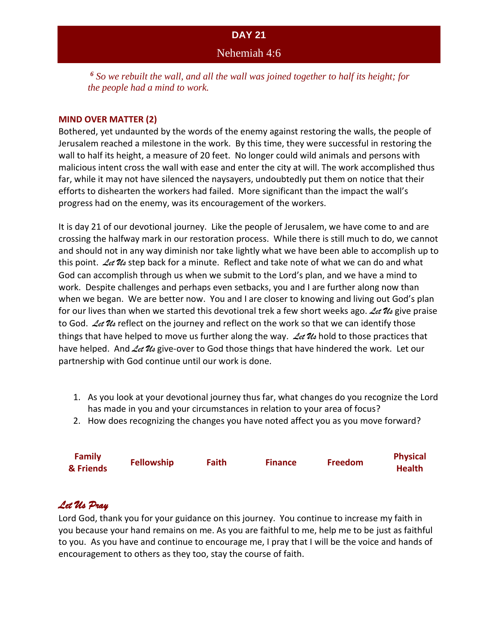# **DAY 21** Nehemiah 4:6

*<sup>6</sup> So we rebuilt the wall, and all the wall was joined together to half its height; for the people had a mind to work.*

#### **MIND OVER MATTER (2)**

Bothered, yet undaunted by the words of the enemy against restoring the walls, the people of Jerusalem reached a milestone in the work. By this time, they were successful in restoring the wall to half its height, a measure of 20 feet. No longer could wild animals and persons with malicious intent cross the wall with ease and enter the city at will. The work accomplished thus far, while it may not have silenced the naysayers, undoubtedly put them on notice that their efforts to dishearten the workers had failed. More significant than the impact the wall's progress had on the enemy, was its encouragement of the workers.

It is day 21 of our devotional journey. Like the people of Jerusalem, we have come to and are crossing the halfway mark in our restoration process. While there is still much to do, we cannot and should not in any way diminish nor take lightly what we have been able to accomplish up to this point. *Let Us* step back for a minute. Reflect and take note of what we can do and what God can accomplish through us when we submit to the Lord's plan, and we have a mind to work. Despite challenges and perhaps even setbacks, you and I are further along now than when we began. We are better now. You and I are closer to knowing and living out God's plan for our lives than when we started this devotional trek a few short weeks ago. *Let Us* give praise to God. *Let Us* reflect on the journey and reflect on the work so that we can identify those things that have helped to move us further along the way. *Let Us* hold to those practices that have helped. And Let Us give-over to God those things that have hindered the work. Let our partnership with God continue until our work is done.

- 1. As you look at your devotional journey thus far, what changes do you recognize the Lord has made in you and your circumstances in relation to your area of focus?
- 2. How does recognizing the changes you have noted affect you as you move forward?

| <b>Family</b> | <b>Fellowship</b> | <b>Faith</b> | <b>Finance</b> | <b>Freedom</b> | <b>Physical</b> |
|---------------|-------------------|--------------|----------------|----------------|-----------------|
| & Friends     |                   |              |                |                | <b>Health</b>   |

# *Let Us Pray*

Lord God, thank you for your guidance on this journey. You continue to increase my faith in you because your hand remains on me. As you are faithful to me, help me to be just as faithful to you. As you have and continue to encourage me, I pray that I will be the voice and hands of encouragement to others as they too, stay the course of faith.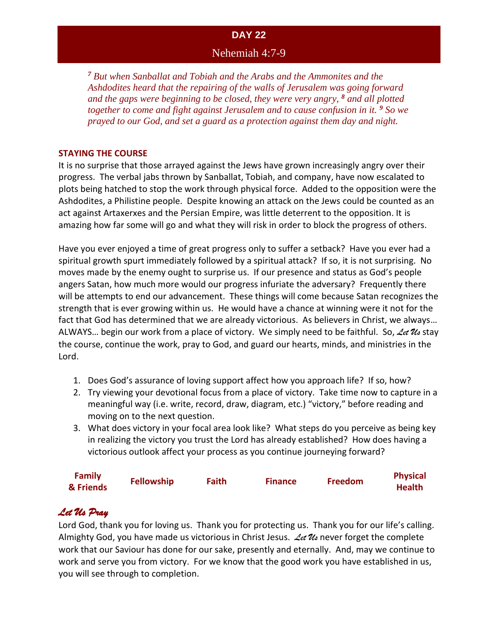### Nehemiah 4:7-9

*<sup>7</sup> But when Sanballat and Tobiah and the Arabs and the Ammonites and the Ashdodites heard that the repairing of the walls of Jerusalem was going forward and the gaps were beginning to be closed, they were very angry, <sup>8</sup> and all plotted together to come and fight against Jerusalem and to cause confusion in it. <sup>9</sup> So we prayed to our God, and set a guard as a protection against them day and night.*

#### **STAYING THE COURSE**

It is no surprise that those arrayed against the Jews have grown increasingly angry over their progress. The verbal jabs thrown by Sanballat, Tobiah, and company, have now escalated to plots being hatched to stop the work through physical force. Added to the opposition were the Ashdodites, a Philistine people. Despite knowing an attack on the Jews could be counted as an act against Artaxerxes and the Persian Empire, was little deterrent to the opposition. It is amazing how far some will go and what they will risk in order to block the progress of others.

Have you ever enjoyed a time of great progress only to suffer a setback? Have you ever had a spiritual growth spurt immediately followed by a spiritual attack? If so, it is not surprising. No moves made by the enemy ought to surprise us. If our presence and status as God's people angers Satan, how much more would our progress infuriate the adversary? Frequently there will be attempts to end our advancement. These things will come because Satan recognizes the strength that is ever growing within us. He would have a chance at winning were it not for the fact that God has determined that we are already victorious. As believers in Christ, we always… ALWAYS… begin our work from a place of victory. We simply need to be faithful. So, *Let Us* stay the course, continue the work, pray to God, and guard our hearts, minds, and ministries in the Lord.

- 1. Does God's assurance of loving support affect how you approach life? If so, how?
- 2. Try viewing your devotional focus from a place of victory. Take time now to capture in a meaningful way (i.e. write, record, draw, diagram, etc.) "victory," before reading and moving on to the next question.
- 3. What does victory in your focal area look like? What steps do you perceive as being key in realizing the victory you trust the Lord has already established? How does having a victorious outlook affect your process as you continue journeying forward?

| <b>Family</b> | <b>Fellowship</b> | Faith | <b>Finance</b> | <b>Freedom</b> | <b>Physical</b> |
|---------------|-------------------|-------|----------------|----------------|-----------------|
| & Friends     |                   |       |                |                | <b>Health</b>   |

# *Let Us Pray*

Lord God, thank you for loving us. Thank you for protecting us. Thank you for our life's calling. Almighty God, you have made us victorious in Christ Jesus. *Let Us* never forget the complete work that our Saviour has done for our sake, presently and eternally. And, may we continue to work and serve you from victory. For we know that the good work you have established in us, you will see through to completion.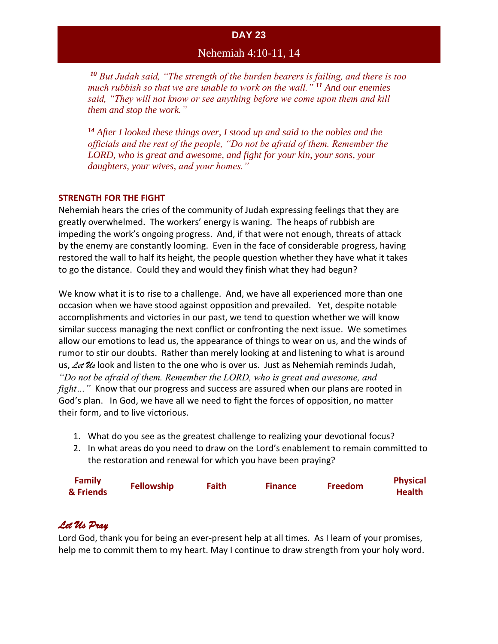# Nehemiah 4:10-11, 14

*<sup>10</sup> But Judah said, "The strength of the burden bearers is failing, and there is too much rubbish so that we are unable to work on the wall." <sup>11</sup> And our enemies said, "They will not know or see anything before we come upon them and kill them and stop the work."*

*<sup>14</sup> After I looked these things over, I stood up and said to the nobles and the officials and the rest of the people, "Do not be afraid of them. Remember the LORD, who is great and awesome, and fight for your kin, your sons, your daughters, your wives, and your homes."*

#### **STRENGTH FOR THE FIGHT**

Nehemiah hears the cries of the community of Judah expressing feelings that they are greatly overwhelmed. The workers' energy is waning. The heaps of rubbish are impeding the work's ongoing progress. And, if that were not enough, threats of attack by the enemy are constantly looming. Even in the face of considerable progress, having restored the wall to half its height, the people question whether they have what it takes to go the distance. Could they and would they finish what they had begun?

We know what it is to rise to a challenge. And, we have all experienced more than one occasion when we have stood against opposition and prevailed. Yet, despite notable accomplishments and victories in our past, we tend to question whether we will know similar success managing the next conflict or confronting the next issue. We sometimes allow our emotions to lead us, the appearance of things to wear on us, and the winds of rumor to stir our doubts. Rather than merely looking at and listening to what is around us, *Let Us* look and listen to the one who is over us. Just as Nehemiah reminds Judah, *"Do not be afraid of them. Remember the LORD, who is great and awesome, and fight…"* Know that our progress and success are assured when our plans are rooted in God's plan. In God, we have all we need to fight the forces of opposition, no matter their form, and to live victorious.

- 1. What do you see as the greatest challenge to realizing your devotional focus?
- 2. In what areas do you need to draw on the Lord's enablement to remain committed to the restoration and renewal for which you have been praying?

| <b>Family</b> | <b>Fellowship</b> | <b>Faith</b> | <b>Finance</b> | <b>Freedom</b> | <b>Physical</b> |
|---------------|-------------------|--------------|----------------|----------------|-----------------|
| & Friends     |                   |              |                |                | <b>Health</b>   |

# *Let Us Pray*

Lord God, thank you for being an ever-present help at all times. As I learn of your promises, help me to commit them to my heart. May I continue to draw strength from your holy word.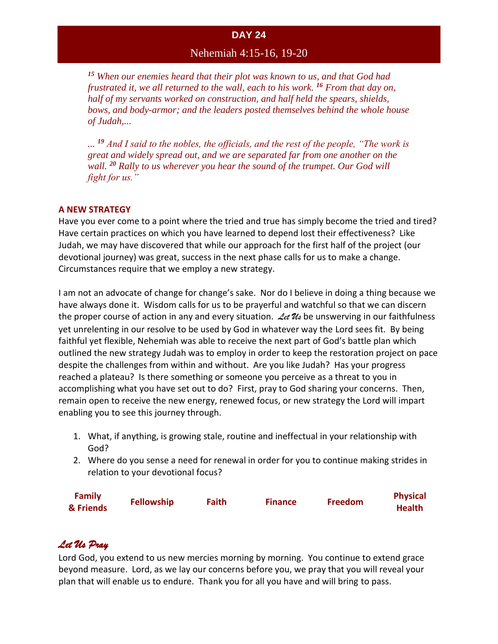# Nehemiah 4:15-16, 19-20

*<sup>15</sup> When our enemies heard that their plot was known to us, and that God had frustrated it, we all returned to the wall, each to his work. <sup>16</sup> From that day on, half of my servants worked on construction, and half held the spears, shields, bows, and body-armor; and the leaders posted themselves behind the whole house of Judah,...*

*... <sup>19</sup> And I said to the nobles, the officials, and the rest of the people, "The work is great and widely spread out, and we are separated far from one another on the wall. <sup>20</sup> Rally to us wherever you hear the sound of the trumpet. Our God will fight for us."*

#### **A NEW STRATEGY**

Have you ever come to a point where the tried and true has simply become the tried and tired? Have certain practices on which you have learned to depend lost their effectiveness? Like Judah, we may have discovered that while our approach for the first half of the project (our devotional journey) was great, success in the next phase calls for us to make a change. Circumstances require that we employ a new strategy.

I am not an advocate of change for change's sake. Nor do I believe in doing a thing because we have always done it. Wisdom calls for us to be prayerful and watchful so that we can discern the proper course of action in any and every situation. *Let Us* be unswerving in our faithfulness yet unrelenting in our resolve to be used by God in whatever way the Lord sees fit. By being faithful yet flexible, Nehemiah was able to receive the next part of God's battle plan which outlined the new strategy Judah was to employ in order to keep the restoration project on pace despite the challenges from within and without. Are you like Judah? Has your progress reached a plateau? Is there something or someone you perceive as a threat to you in accomplishing what you have set out to do? First, pray to God sharing your concerns. Then, remain open to receive the new energy, renewed focus, or new strategy the Lord will impart enabling you to see this journey through.

- 1. What, if anything, is growing stale, routine and ineffectual in your relationship with God?
- 2. Where do you sense a need for renewal in order for you to continue making strides in relation to your devotional focus?

| <b>Family</b> | <b>Fellowship</b> | <b>Faith</b> | <b>Finance</b> | <b>Freedom</b> | <b>Physical</b> |
|---------------|-------------------|--------------|----------------|----------------|-----------------|
| & Friends     |                   |              |                |                | <b>Health</b>   |

# *Let Us Pray*

Lord God, you extend to us new mercies morning by morning. You continue to extend grace beyond measure. Lord, as we lay our concerns before you, we pray that you will reveal your plan that will enable us to endure. Thank you for all you have and will bring to pass.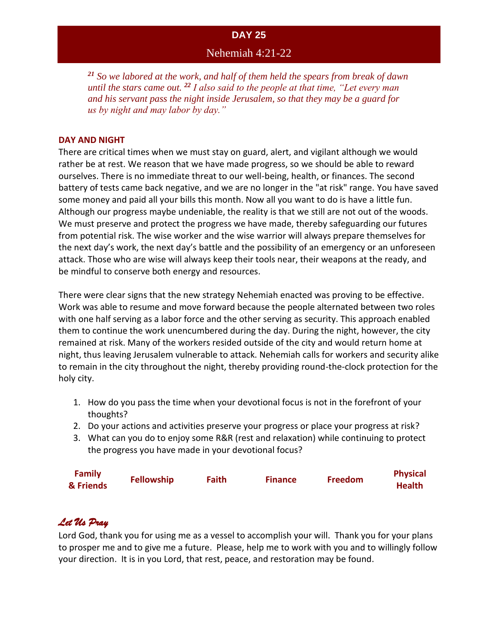### Nehemiah 4:21-22

*<sup>21</sup> So we labored at the work, and half of them held the spears from break of dawn until the stars came out. <sup>22</sup> I also said to the people at that time, "Let every man and his servant pass the night inside Jerusalem, so that they may be a guard for us by night and may labor by day."* 

#### **DAY AND NIGHT**

There are critical times when we must stay on guard, alert, and vigilant although we would rather be at rest. We reason that we have made progress, so we should be able to reward ourselves. There is no immediate threat to our well-being, health, or finances. The second battery of tests came back negative, and we are no longer in the "at risk" range. You have saved some money and paid all your bills this month. Now all you want to do is have a little fun. Although our progress maybe undeniable, the reality is that we still are not out of the woods. We must preserve and protect the progress we have made, thereby safeguarding our futures from potential risk. The wise worker and the wise warrior will always prepare themselves for the next day's work, the next day's battle and the possibility of an emergency or an unforeseen attack. Those who are wise will always keep their tools near, their weapons at the ready, and be mindful to conserve both energy and resources.

There were clear signs that the new strategy Nehemiah enacted was proving to be effective. Work was able to resume and move forward because the people alternated between two roles with one half serving as a labor force and the other serving as security. This approach enabled them to continue the work unencumbered during the day. During the night, however, the city remained at risk. Many of the workers resided outside of the city and would return home at night, thus leaving Jerusalem vulnerable to attack. Nehemiah calls for workers and security alike to remain in the city throughout the night, thereby providing round-the-clock protection for the holy city.

- 1. How do you pass the time when your devotional focus is not in the forefront of your thoughts?
- 2. Do your actions and activities preserve your progress or place your progress at risk?
- 3. What can you do to enjoy some R&R (rest and relaxation) while continuing to protect the progress you have made in your devotional focus?

| <b>Family</b> | <b>Fellowship</b> | Faith | <b>Finance</b> | <b>Freedom</b> | <b>Physical</b> |
|---------------|-------------------|-------|----------------|----------------|-----------------|
| & Friends     |                   |       |                |                | <b>Health</b>   |

# *Let Us Pray*

Lord God, thank you for using me as a vessel to accomplish your will. Thank you for your plans to prosper me and to give me a future. Please, help me to work with you and to willingly follow your direction. It is in you Lord, that rest, peace, and restoration may be found.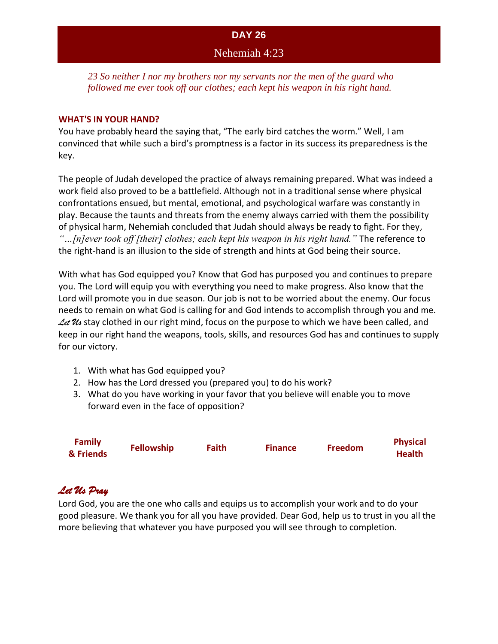### Nehemiah 4:23

*23 So neither I nor my brothers nor my servants nor the men of the guard who followed me ever took off our clothes; each kept his weapon in his right hand.*

#### **WHAT'S IN YOUR HAND?**

You have probably heard the saying that, "The early bird catches the worm." Well, I am convinced that while such a bird's promptness is a factor in its success its preparedness is the key.

The people of Judah developed the practice of always remaining prepared. What was indeed a work field also proved to be a battlefield. Although not in a traditional sense where physical confrontations ensued, but mental, emotional, and psychological warfare was constantly in play. Because the taunts and threats from the enemy always carried with them the possibility of physical harm, Nehemiah concluded that Judah should always be ready to fight. For they, *"…[n]ever took off [their] clothes; each kept his weapon in his right hand."* The reference to the right-hand is an illusion to the side of strength and hints at God being their source.

With what has God equipped you? Know that God has purposed you and continues to prepare you. The Lord will equip you with everything you need to make progress. Also know that the Lord will promote you in due season. Our job is not to be worried about the enemy. Our focus needs to remain on what God is calling for and God intends to accomplish through you and me. Let U<sub>s</sub> stay clothed in our right mind, focus on the purpose to which we have been called, and keep in our right hand the weapons, tools, skills, and resources God has and continues to supply for our victory.

- 1. With what has God equipped you?
- 2. How has the Lord dressed you (prepared you) to do his work?
- 3. What do you have working in your favor that you believe will enable you to move forward even in the face of opposition?

| <b>Family</b> | <b>Fellowship</b> | <b>Faith</b> | <b>Finance</b> | <b>Freedom</b> | <b>Physical</b> |
|---------------|-------------------|--------------|----------------|----------------|-----------------|
| & Friends     |                   |              |                |                | <b>Health</b>   |

# *Let Us Pray*

Lord God, you are the one who calls and equips us to accomplish your work and to do your good pleasure. We thank you for all you have provided. Dear God, help us to trust in you all the more believing that whatever you have purposed you will see through to completion.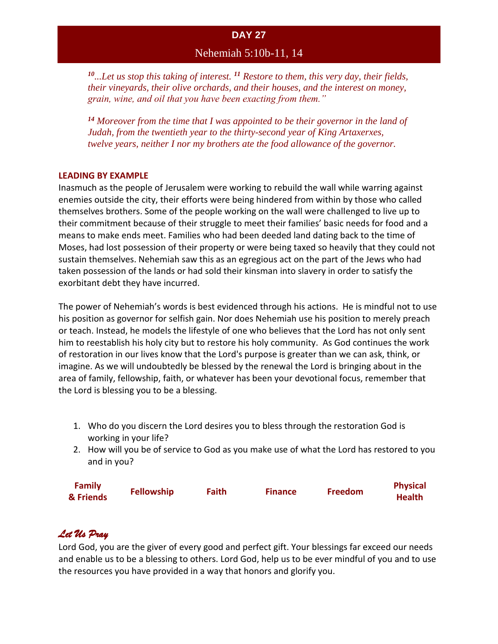# Nehemiah 5:10b-11, 14

*<sup>10</sup>...Let us stop this taking of interest. <sup>11</sup> Restore to them, this very day, their fields, their vineyards, their olive orchards, and their houses, and the interest on money, grain, wine, and oil that you have been exacting from them."* 

*<sup>14</sup> Moreover from the time that I was appointed to be their governor in the land of Judah, from the twentieth year to the thirty-second year of King Artaxerxes, twelve years, neither I nor my brothers ate the food allowance of the governor.*

#### **LEADING BY EXAMPLE**

Inasmuch as the people of Jerusalem were working to rebuild the wall while warring against enemies outside the city, their efforts were being hindered from within by those who called themselves brothers. Some of the people working on the wall were challenged to live up to their commitment because of their struggle to meet their families' basic needs for food and a means to make ends meet. Families who had been deeded land dating back to the time of Moses, had lost possession of their property or were being taxed so heavily that they could not sustain themselves. Nehemiah saw this as an egregious act on the part of the Jews who had taken possession of the lands or had sold their kinsman into slavery in order to satisfy the exorbitant debt they have incurred.

The power of Nehemiah's words is best evidenced through his actions. He is mindful not to use his position as governor for selfish gain. Nor does Nehemiah use his position to merely preach or teach. Instead, he models the lifestyle of one who believes that the Lord has not only sent him to reestablish his holy city but to restore his holy community. As God continues the work of restoration in our lives know that the Lord's purpose is greater than we can ask, think, or imagine. As we will undoubtedly be blessed by the renewal the Lord is bringing about in the area of family, fellowship, faith, or whatever has been your devotional focus, remember that the Lord is blessing you to be a blessing.

- 1. Who do you discern the Lord desires you to bless through the restoration God is working in your life?
- 2. How will you be of service to God as you make use of what the Lord has restored to you and in you?

| <b>Family</b> | <b>Fellowship</b> | <b>Faith</b> | <b>Finance</b> | <b>Freedom</b> | <b>Physical</b> |
|---------------|-------------------|--------------|----------------|----------------|-----------------|
| & Friends     |                   |              |                |                | <b>Health</b>   |

# *Let Us Pray*

Lord God, you are the giver of every good and perfect gift. Your blessings far exceed our needs and enable us to be a blessing to others. Lord God, help us to be ever mindful of you and to use the resources you have provided in a way that honors and glorify you.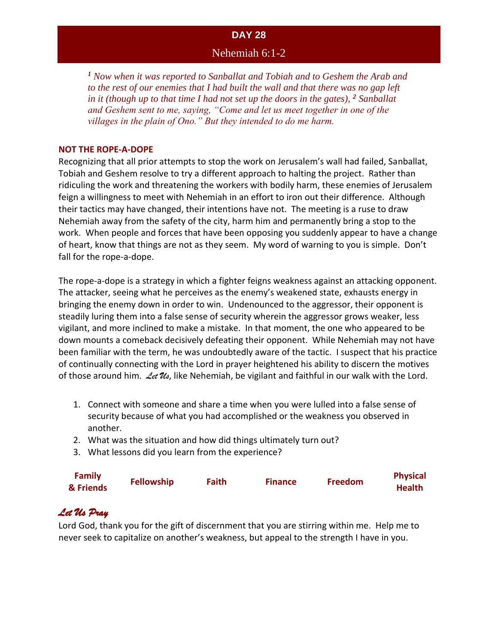### Nehemiah 6:1-2

*<sup>1</sup> Now when it was reported to Sanballat and Tobiah and to Geshem the Arab and to the rest of our enemies that I had built the wall and that there was no gap left in it (though up to that time I had not set up the doors in the gates), <sup>2</sup> Sanballat and Geshem sent to me, saying, "Come and let us meet together in one of the villages in the plain of Ono." But they intended to do me harm.*

#### **NOT THE ROPE-A-DOPE**

Recognizing that all prior attempts to stop the work on Jerusalem's wall had failed, Sanballat, Tobiah and Geshem resolve to try a different approach to halting the project. Rather than ridiculing the work and threatening the workers with bodily harm, these enemies of Jerusalem feign a willingness to meet with Nehemiah in an effort to iron out their difference. Although their tactics may have changed, their intentions have not. The meeting is a ruse to draw Nehemiah away from the safety of the city, harm him and permanently bring a stop to the work. When people and forces that have been opposing you suddenly appear to have a change of heart, know that things are not as they seem. My word of warning to you is simple. Don't fall for the rope-a-dope.

The rope-a-dope is a strategy in which a fighter feigns weakness against an attacking opponent. The attacker, seeing what he perceives as the enemy's weakened state, exhausts energy in bringing the enemy down in order to win. Undenounced to the aggressor, their opponent is steadily luring them into a false sense of security wherein the aggressor grows weaker, less vigilant, and more inclined to make a mistake. In that moment, the one who appeared to be down mounts a comeback decisively defeating their opponent. While Nehemiah may not have been familiar with the term, he was undoubtedly aware of the tactic. I suspect that his practice of continually connecting with the Lord in prayer heightened his ability to discern the motives of those around him. *Let Us*, like Nehemiah, be vigilant and faithful in our walk with the Lord.

- 1. Connect with someone and share a time when you were lulled into a false sense of security because of what you had accomplished or the weakness you observed in another.
- 2. What was the situation and how did things ultimately turn out?
- 3. What lessons did you learn from the experience?

| <b>Family</b><br>& Friends | <b>Fellowship</b> | Faith | <b>Finance</b> | <b>Freedom</b> | <b>Physical</b><br><b>Health</b> |
|----------------------------|-------------------|-------|----------------|----------------|----------------------------------|
|                            |                   |       |                |                |                                  |

# *Let Us Pray*

Lord God, thank you for the gift of discernment that you are stirring within me. Help me to never seek to capitalize on another's weakness, but appeal to the strength I have in you.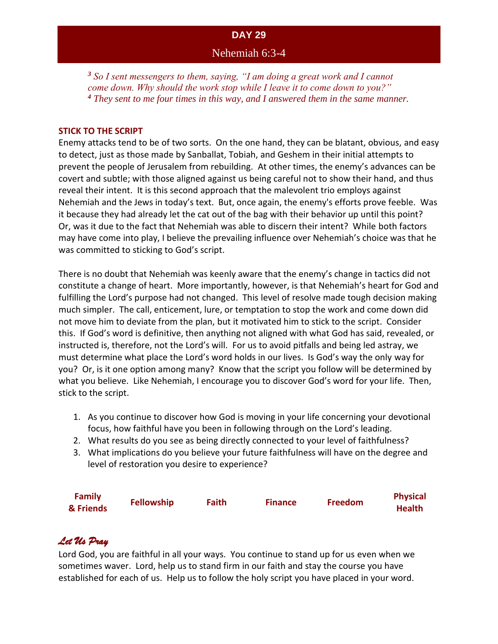### Nehemiah 6:3-4

*<sup>3</sup> So I sent messengers to them, saying, "I am doing a great work and I cannot come down. Why should the work stop while I leave it to come down to you?" <sup>4</sup> They sent to me four times in this way, and I answered them in the same manner.*

#### **STICK TO THE SCRIPT**

Enemy attacks tend to be of two sorts. On the one hand, they can be blatant, obvious, and easy to detect, just as those made by Sanballat, Tobiah, and Geshem in their initial attempts to prevent the people of Jerusalem from rebuilding. At other times, the enemy's advances can be covert and subtle; with those aligned against us being careful not to show their hand, and thus reveal their intent. It is this second approach that the malevolent trio employs against Nehemiah and the Jews in today's text. But, once again, the enemy's efforts prove feeble. Was it because they had already let the cat out of the bag with their behavior up until this point? Or, was it due to the fact that Nehemiah was able to discern their intent? While both factors may have come into play, I believe the prevailing influence over Nehemiah's choice was that he was committed to sticking to God's script.

There is no doubt that Nehemiah was keenly aware that the enemy's change in tactics did not constitute a change of heart. More importantly, however, is that Nehemiah's heart for God and fulfilling the Lord's purpose had not changed. This level of resolve made tough decision making much simpler. The call, enticement, lure, or temptation to stop the work and come down did not move him to deviate from the plan, but it motivated him to stick to the script. Consider this. If God's word is definitive, then anything not aligned with what God has said, revealed, or instructed is, therefore, not the Lord's will. For us to avoid pitfalls and being led astray, we must determine what place the Lord's word holds in our lives. Is God's way the only way for you? Or, is it one option among many? Know that the script you follow will be determined by what you believe. Like Nehemiah, I encourage you to discover God's word for your life. Then, stick to the script.

- 1. As you continue to discover how God is moving in your life concerning your devotional focus, how faithful have you been in following through on the Lord's leading.
- 2. What results do you see as being directly connected to your level of faithfulness?
- 3. What implications do you believe your future faithfulness will have on the degree and level of restoration you desire to experience?

| <b>Family</b> |                   |              |                |                | <b>Physical</b> |
|---------------|-------------------|--------------|----------------|----------------|-----------------|
| & Friends     | <b>Fellowship</b> | <b>Faith</b> | <b>Finance</b> | <b>Freedom</b> | <b>Health</b>   |

# *Let Us Pray*

Lord God, you are faithful in all your ways. You continue to stand up for us even when we sometimes waver. Lord, help us to stand firm in our faith and stay the course you have established for each of us. Help us to follow the holy script you have placed in your word.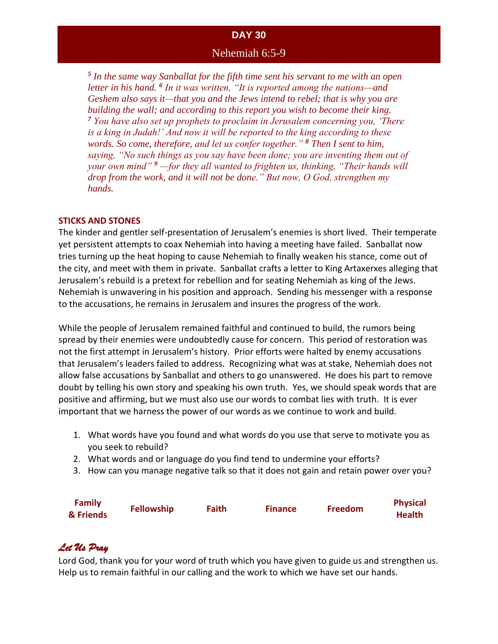### Nehemiah 6:5-9

*5 In the same way Sanballat for the fifth time sent his servant to me with an open letter in his hand. <sup>6</sup> In it was written, "It is reported among the nations—and Geshem also says it—that you and the Jews intend to rebel; that is why you are building the wall; and according to this report you wish to become their king. <sup>7</sup> You have also set up prophets to proclaim in Jerusalem concerning you, 'There is a king in Judah!' And now it will be reported to the king according to these words. So come, therefore, and let us confer together." <sup>8</sup> Then I sent to him, saying, "No such things as you say have been done; you are inventing them out of your own mind" <sup>9</sup> —for they all wanted to frighten us, thinking, "Their hands will drop from the work, and it will not be done." But now, O God, strengthen my hands.*

#### **STICKS AND STONES**

The kinder and gentler self-presentation of Jerusalem's enemies is short lived. Their temperate yet persistent attempts to coax Nehemiah into having a meeting have failed. Sanballat now tries turning up the heat hoping to cause Nehemiah to finally weaken his stance, come out of the city, and meet with them in private. Sanballat crafts a letter to King Artaxerxes alleging that Jerusalem's rebuild is a pretext for rebellion and for seating Nehemiah as king of the Jews. Nehemiah is unwavering in his position and approach. Sending his messenger with a response to the accusations, he remains in Jerusalem and insures the progress of the work.

While the people of Jerusalem remained faithful and continued to build, the rumors being spread by their enemies were undoubtedly cause for concern. This period of restoration was not the first attempt in Jerusalem's history. Prior efforts were halted by enemy accusations that Jerusalem's leaders failed to address. Recognizing what was at stake, Nehemiah does not allow false accusations by Sanballat and others to go unanswered. He does his part to remove doubt by telling his own story and speaking his own truth. Yes, we should speak words that are positive and affirming, but we must also use our words to combat lies with truth. It is ever important that we harness the power of our words as we continue to work and build.

- 1. What words have you found and what words do you use that serve to motivate you as you seek to rebuild?
- 2. What words and or language do you find tend to undermine your efforts?
- 3. How can you manage negative talk so that it does not gain and retain power over you?

| <b>Family</b><br>& Friends | <b>Fellowship</b> | Faith | <b>Finance</b> | <b>Freedom</b> | <b>Physical</b><br><b>Health</b> |
|----------------------------|-------------------|-------|----------------|----------------|----------------------------------|
|                            |                   |       |                |                |                                  |

# *Let Us Pray*

Lord God, thank you for your word of truth which you have given to guide us and strengthen us. Help us to remain faithful in our calling and the work to which we have set our hands.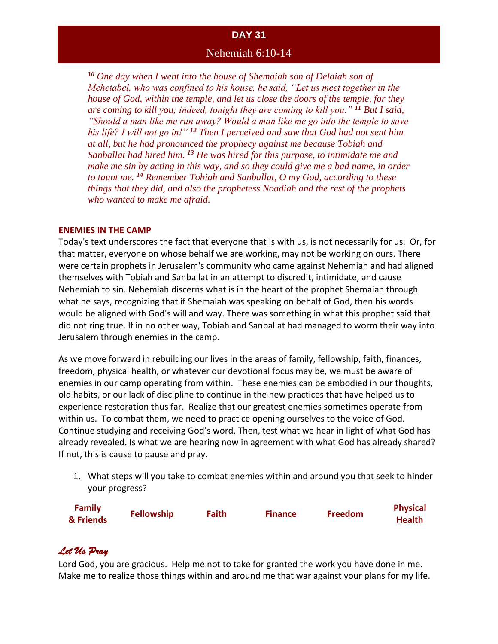### Nehemiah 6:10-14

*<sup>10</sup> One day when I went into the house of Shemaiah son of Delaiah son of Mehetabel, who was confined to his house, he said, "Let us meet together in the house of God, within the temple, and let us close the doors of the temple, for they are coming to kill you; indeed, tonight they are coming to kill you." <sup>11</sup> But I said, "Should a man like me run away? Would a man like me go into the temple to save his life? I will not go in!" <sup>12</sup> Then I perceived and saw that God had not sent him at all, but he had pronounced the prophecy against me because Tobiah and Sanballat had hired him. <sup>13</sup> He was hired for this purpose, to intimidate me and make me sin by acting in this way, and so they could give me a bad name, in order to taunt me. <sup>14</sup> Remember Tobiah and Sanballat, O my God, according to these things that they did, and also the prophetess Noadiah and the rest of the prophets who wanted to make me afraid.*

#### **ENEMIES IN THE CAMP**

Today's text underscores the fact that everyone that is with us, is not necessarily for us. Or, for that matter, everyone on whose behalf we are working, may not be working on ours. There were certain prophets in Jerusalem's community who came against Nehemiah and had aligned themselves with Tobiah and Sanballat in an attempt to discredit, intimidate, and cause Nehemiah to sin. Nehemiah discerns what is in the heart of the prophet Shemaiah through what he says, recognizing that if Shemaiah was speaking on behalf of God, then his words would be aligned with God's will and way. There was something in what this prophet said that did not ring true. If in no other way, Tobiah and Sanballat had managed to worm their way into Jerusalem through enemies in the camp.

As we move forward in rebuilding our lives in the areas of family, fellowship, faith, finances, freedom, physical health, or whatever our devotional focus may be, we must be aware of enemies in our camp operating from within. These enemies can be embodied in our thoughts, old habits, or our lack of discipline to continue in the new practices that have helped us to experience restoration thus far. Realize that our greatest enemies sometimes operate from within us. To combat them, we need to practice opening ourselves to the voice of God. Continue studying and receiving God's word. Then, test what we hear in light of what God has already revealed. Is what we are hearing now in agreement with what God has already shared? If not, this is cause to pause and pray.

1. What steps will you take to combat enemies within and around you that seek to hinder your progress?

| <b>Family</b> |                   | <b>Faith</b> |                |                | <b>Physical</b> |
|---------------|-------------------|--------------|----------------|----------------|-----------------|
| & Friends     | <b>Fellowship</b> |              | <b>Finance</b> | <b>Freedom</b> | <b>Health</b>   |

# *Let Us Pray*

Lord God, you are gracious. Help me not to take for granted the work you have done in me. Make me to realize those things within and around me that war against your plans for my life.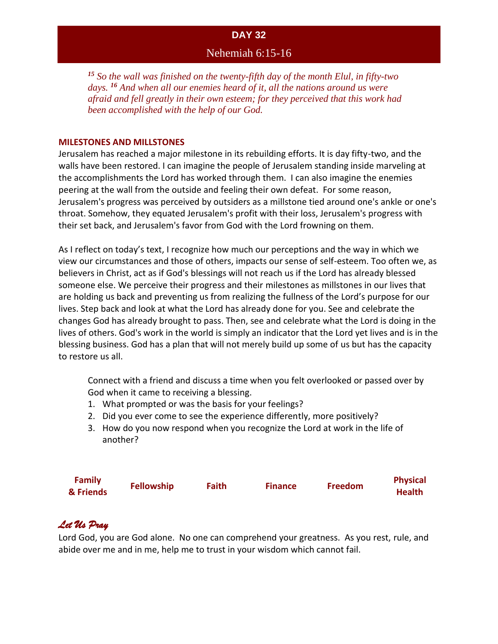### Nehemiah 6:15-16

*<sup>15</sup> So the wall was finished on the twenty-fifth day of the month Elul, in fifty-two days. <sup>16</sup> And when all our enemies heard of it, all the nations around us were afraid and fell greatly in their own esteem; for they perceived that this work had been accomplished with the help of our God.*

#### **MILESTONES AND MILLSTONES**

Jerusalem has reached a major milestone in its rebuilding efforts. It is day fifty-two, and the walls have been restored. I can imagine the people of Jerusalem standing inside marveling at the accomplishments the Lord has worked through them. I can also imagine the enemies peering at the wall from the outside and feeling their own defeat. For some reason, Jerusalem's progress was perceived by outsiders as a millstone tied around one's ankle or one's throat. Somehow, they equated Jerusalem's profit with their loss, Jerusalem's progress with their set back, and Jerusalem's favor from God with the Lord frowning on them.

As I reflect on today's text, I recognize how much our perceptions and the way in which we view our circumstances and those of others, impacts our sense of self-esteem. Too often we, as believers in Christ, act as if God's blessings will not reach us if the Lord has already blessed someone else. We perceive their progress and their milestones as millstones in our lives that are holding us back and preventing us from realizing the fullness of the Lord's purpose for our lives. Step back and look at what the Lord has already done for you. See and celebrate the changes God has already brought to pass. Then, see and celebrate what the Lord is doing in the lives of others. God's work in the world is simply an indicator that the Lord yet lives and is in the blessing business. God has a plan that will not merely build up some of us but has the capacity to restore us all.

Connect with a friend and discuss a time when you felt overlooked or passed over by God when it came to receiving a blessing.

- 1. What prompted or was the basis for your feelings?
- 2. Did you ever come to see the experience differently, more positively?
- 3. How do you now respond when you recognize the Lord at work in the life of another?

| <b>Family</b> |                   | Faith |                | <b>Freedom</b> | <b>Physical</b> |
|---------------|-------------------|-------|----------------|----------------|-----------------|
| & Friends     | <b>Fellowship</b> |       | <b>Finance</b> |                | <b>Health</b>   |

# *Let Us Pray*

Lord God, you are God alone. No one can comprehend your greatness. As you rest, rule, and abide over me and in me, help me to trust in your wisdom which cannot fail.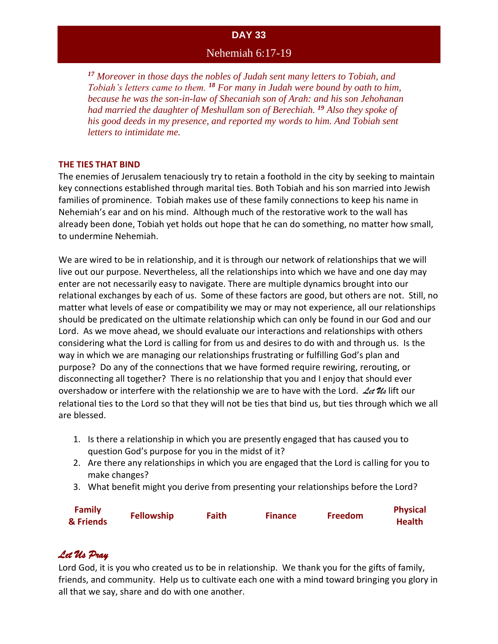### Nehemiah 6:17-19

*<sup>17</sup> Moreover in those days the nobles of Judah sent many letters to Tobiah, and Tobiah's letters came to them. <sup>18</sup> For many in Judah were bound by oath to him, because he was the son-in-law of Shecaniah son of Arah: and his son Jehohanan had married the daughter of Meshullam son of Berechiah. <sup>19</sup> Also they spoke of his good deeds in my presence, and reported my words to him. And Tobiah sent letters to intimidate me.*

#### **THE TIES THAT BIND**

The enemies of Jerusalem tenaciously try to retain a foothold in the city by seeking to maintain key connections established through marital ties. Both Tobiah and his son married into Jewish families of prominence. Tobiah makes use of these family connections to keep his name in Nehemiah's ear and on his mind. Although much of the restorative work to the wall has already been done, Tobiah yet holds out hope that he can do something, no matter how small, to undermine Nehemiah.

We are wired to be in relationship, and it is through our network of relationships that we will live out our purpose. Nevertheless, all the relationships into which we have and one day may enter are not necessarily easy to navigate. There are multiple dynamics brought into our relational exchanges by each of us. Some of these factors are good, but others are not. Still, no matter what levels of ease or compatibility we may or may not experience, all our relationships should be predicated on the ultimate relationship which can only be found in our God and our Lord. As we move ahead, we should evaluate our interactions and relationships with others considering what the Lord is calling for from us and desires to do with and through us. Is the way in which we are managing our relationships frustrating or fulfilling God's plan and purpose? Do any of the connections that we have formed require rewiring, rerouting, or disconnecting all together? There is no relationship that you and I enjoy that should ever overshadow or interfere with the relationship we are to have with the Lord. *Let Us* lift our relational ties to the Lord so that they will not be ties that bind us, but ties through which we all are blessed.

- 1. Is there a relationship in which you are presently engaged that has caused you to question God's purpose for you in the midst of it?
- 2. Are there any relationships in which you are engaged that the Lord is calling for you to make changes?
- 3. What benefit might you derive from presenting your relationships before the Lord?

| <b>Family</b> |                   | <b>Faith</b> |                | <b>Freedom</b> | <b>Physical</b> |
|---------------|-------------------|--------------|----------------|----------------|-----------------|
| & Friends     | <b>Fellowship</b> |              | <b>Finance</b> |                | <b>Health</b>   |

# *Let Us Pray*

Lord God, it is you who created us to be in relationship. We thank you for the gifts of family, friends, and community. Help us to cultivate each one with a mind toward bringing you glory in all that we say, share and do with one another.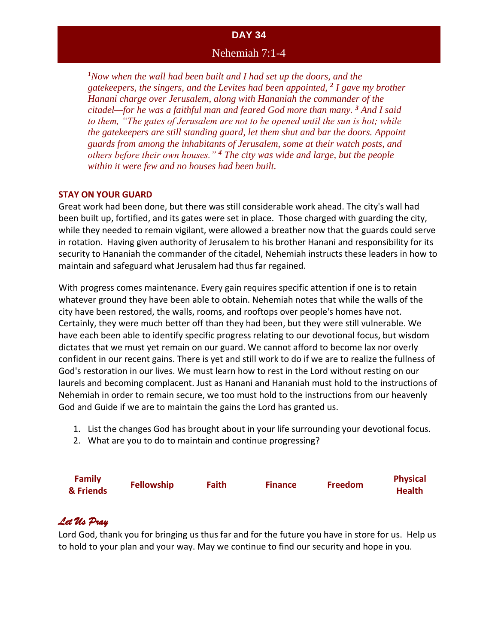### Nehemiah 7:1-4

*<sup>1</sup>Now when the wall had been built and I had set up the doors, and the gatekeepers, the singers, and the Levites had been appointed, <sup>2</sup> I gave my brother Hanani charge over Jerusalem, along with Hananiah the commander of the citadel—for he was a faithful man and feared God more than many. <sup>3</sup> And I said to them, "The gates of Jerusalem are not to be opened until the sun is hot; while the gatekeepers are still standing guard, let them shut and bar the doors. Appoint guards from among the inhabitants of Jerusalem, some at their watch posts, and others before their own houses." <sup>4</sup> The city was wide and large, but the people within it were few and no houses had been built.*

#### **STAY ON YOUR GUARD**

Great work had been done, but there was still considerable work ahead. The city's wall had been built up, fortified, and its gates were set in place. Those charged with guarding the city, while they needed to remain vigilant, were allowed a breather now that the guards could serve in rotation. Having given authority of Jerusalem to his brother Hanani and responsibility for its security to Hananiah the commander of the citadel, Nehemiah instructs these leaders in how to maintain and safeguard what Jerusalem had thus far regained.

With progress comes maintenance. Every gain requires specific attention if one is to retain whatever ground they have been able to obtain. Nehemiah notes that while the walls of the city have been restored, the walls, rooms, and rooftops over people's homes have not. Certainly, they were much better off than they had been, but they were still vulnerable. We have each been able to identify specific progress relating to our devotional focus, but wisdom dictates that we must yet remain on our guard. We cannot afford to become lax nor overly confident in our recent gains. There is yet and still work to do if we are to realize the fullness of God's restoration in our lives. We must learn how to rest in the Lord without resting on our laurels and becoming complacent. Just as Hanani and Hananiah must hold to the instructions of Nehemiah in order to remain secure, we too must hold to the instructions from our heavenly God and Guide if we are to maintain the gains the Lord has granted us.

- 1. List the changes God has brought about in your life surrounding your devotional focus.
- 2. What are you to do to maintain and continue progressing?

| <b>Family</b> |                   |              |                | <b>Freedom</b> | <b>Physical</b> |
|---------------|-------------------|--------------|----------------|----------------|-----------------|
| & Friends     | <b>Fellowship</b> | <b>Faith</b> | <b>Finance</b> |                | <b>Health</b>   |

# *Let Us Pray*

Lord God, thank you for bringing us thus far and for the future you have in store for us. Help us to hold to your plan and your way. May we continue to find our security and hope in you.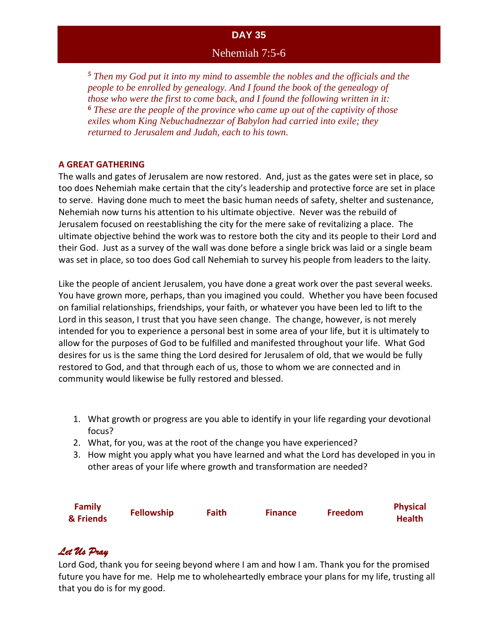### Nehemiah 7:5-6

*<sup>5</sup> Then my God put it into my mind to assemble the nobles and the officials and the people to be enrolled by genealogy. And I found the book of the genealogy of those who were the first to come back, and I found the following written in it: <sup>6</sup> These are the people of the province who came up out of the captivity of those exiles whom King Nebuchadnezzar of Babylon had carried into exile; they returned to Jerusalem and Judah, each to his town.*

#### **A GREAT GATHERING**

The walls and gates of Jerusalem are now restored. And, just as the gates were set in place, so too does Nehemiah make certain that the city's leadership and protective force are set in place to serve. Having done much to meet the basic human needs of safety, shelter and sustenance, Nehemiah now turns his attention to his ultimate objective. Never was the rebuild of Jerusalem focused on reestablishing the city for the mere sake of revitalizing a place. The ultimate objective behind the work was to restore both the city and its people to their Lord and their God. Just as a survey of the wall was done before a single brick was laid or a single beam was set in place, so too does God call Nehemiah to survey his people from leaders to the laity.

Like the people of ancient Jerusalem, you have done a great work over the past several weeks. You have grown more, perhaps, than you imagined you could. Whether you have been focused on familial relationships, friendships, your faith, or whatever you have been led to lift to the Lord in this season, I trust that you have seen change. The change, however, is not merely intended for you to experience a personal best in some area of your life, but it is ultimately to allow for the purposes of God to be fulfilled and manifested throughout your life. What God desires for us is the same thing the Lord desired for Jerusalem of old, that we would be fully restored to God, and that through each of us, those to whom we are connected and in community would likewise be fully restored and blessed.

- 1. What growth or progress are you able to identify in your life regarding your devotional focus?
- 2. What, for you, was at the root of the change you have experienced?
- 3. How might you apply what you have learned and what the Lord has developed in you in other areas of your life where growth and transformation are needed?

| <b>Family</b> |                   | Faith |                | <b>Freedom</b> | <b>Physical</b> |
|---------------|-------------------|-------|----------------|----------------|-----------------|
| & Friends     | <b>Fellowship</b> |       | <b>Finance</b> |                | <b>Health</b>   |

# *Let Us Pray*

Lord God, thank you for seeing beyond where I am and how I am. Thank you for the promised future you have for me. Help me to wholeheartedly embrace your plans for my life, trusting all that you do is for my good.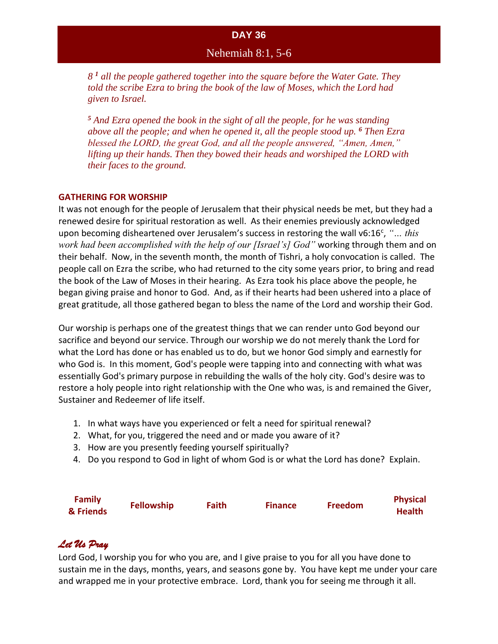### Nehemiah 8:1, 5-6

*8 <sup>1</sup> all the people gathered together into the square before the Water Gate. They*  told the scribe Ezra to bring the book of the law of Moses, which the Lord had *given to Israel.*

*<sup>5</sup> And Ezra opened the book in the sight of all the people, for he was standing above all the people; and when he opened it, all the people stood up. <sup>6</sup> Then Ezra blessed the LORD, the great God, and all the people answered, "Amen, Amen," lifting up their hands. Then they bowed their heads and worshiped the LORD with their faces to the ground.*

#### **GATHERING FOR WORSHIP**

It was not enough for the people of Jerusalem that their physical needs be met, but they had a renewed desire for spiritual restoration as well. As their enemies previously acknowledged upon becoming disheartened over Jerusalem's success in restoring the wall v6:16<sup>c</sup>, "... *this work had been accomplished with the help of our [Israel's] God"* working through them and on their behalf. Now, in the seventh month, the month of Tishri, a holy convocation is called. The people call on Ezra the scribe, who had returned to the city some years prior, to bring and read the book of the Law of Moses in their hearing. As Ezra took his place above the people, he began giving praise and honor to God. And, as if their hearts had been ushered into a place of great gratitude, all those gathered began to bless the name of the Lord and worship their God.

Our worship is perhaps one of the greatest things that we can render unto God beyond our sacrifice and beyond our service. Through our worship we do not merely thank the Lord for what the Lord has done or has enabled us to do, but we honor God simply and earnestly for who God is. In this moment, God's people were tapping into and connecting with what was essentially God's primary purpose in rebuilding the walls of the holy city. God's desire was to restore a holy people into right relationship with the One who was, is and remained the Giver, Sustainer and Redeemer of life itself.

- 1. In what ways have you experienced or felt a need for spiritual renewal?
- 2. What, for you, triggered the need and or made you aware of it?
- 3. How are you presently feeding yourself spiritually?
- 4. Do you respond to God in light of whom God is or what the Lord has done? Explain.

| <b>Family</b> | <b>Fellowship</b> | Faith | <b>Finance</b> | <b>Freedom</b> | <b>Physical</b> |
|---------------|-------------------|-------|----------------|----------------|-----------------|
| & Friends     |                   |       |                |                | <b>Health</b>   |

# *Let Us Pray*

Lord God, I worship you for who you are, and I give praise to you for all you have done to sustain me in the days, months, years, and seasons gone by. You have kept me under your care and wrapped me in your protective embrace. Lord, thank you for seeing me through it all.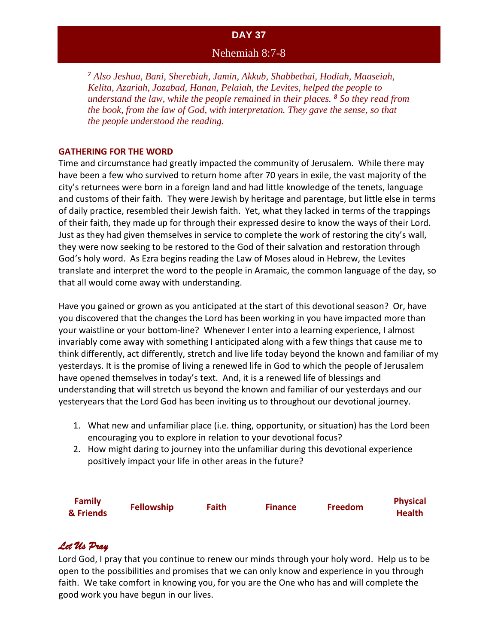### Nehemiah 8:7-8

*<sup>7</sup> Also Jeshua, Bani, Sherebiah, Jamin, Akkub, Shabbethai, Hodiah, Maaseiah, Kelita, Azariah, Jozabad, Hanan, Pelaiah, the Levites, helped the people to understand the law, while the people remained in their places. <sup>8</sup> So they read from the book, from the law of God, with interpretation. They gave the sense, so that the people understood the reading.*

#### **GATHERING FOR THE WORD**

Time and circumstance had greatly impacted the community of Jerusalem. While there may have been a few who survived to return home after 70 years in exile, the vast majority of the city's returnees were born in a foreign land and had little knowledge of the tenets, language and customs of their faith. They were Jewish by heritage and parentage, but little else in terms of daily practice, resembled their Jewish faith. Yet, what they lacked in terms of the trappings of their faith, they made up for through their expressed desire to know the ways of their Lord. Just as they had given themselves in service to complete the work of restoring the city's wall, they were now seeking to be restored to the God of their salvation and restoration through God's holy word. As Ezra begins reading the Law of Moses aloud in Hebrew, the Levites translate and interpret the word to the people in Aramaic, the common language of the day, so that all would come away with understanding.

Have you gained or grown as you anticipated at the start of this devotional season? Or, have you discovered that the changes the Lord has been working in you have impacted more than your waistline or your bottom-line? Whenever I enter into a learning experience, I almost invariably come away with something I anticipated along with a few things that cause me to think differently, act differently, stretch and live life today beyond the known and familiar of my yesterdays. It is the promise of living a renewed life in God to which the people of Jerusalem have opened themselves in today's text. And, it is a renewed life of blessings and understanding that will stretch us beyond the known and familiar of our yesterdays and our yesteryears that the Lord God has been inviting us to throughout our devotional journey.

- 1. What new and unfamiliar place (i.e. thing, opportunity, or situation) has the Lord been encouraging you to explore in relation to your devotional focus?
- 2. How might daring to journey into the unfamiliar during this devotional experience positively impact your life in other areas in the future?

| <b>Family</b><br>& Friends | <b>Fellowship</b> | <b>Faith</b> | <b>Finance</b> | <b>Freedom</b> | <b>Physical</b><br><b>Health</b> |
|----------------------------|-------------------|--------------|----------------|----------------|----------------------------------|
|----------------------------|-------------------|--------------|----------------|----------------|----------------------------------|

# *Let Us Pray*

Lord God, I pray that you continue to renew our minds through your holy word. Help us to be open to the possibilities and promises that we can only know and experience in you through faith. We take comfort in knowing you, for you are the One who has and will complete the good work you have begun in our lives.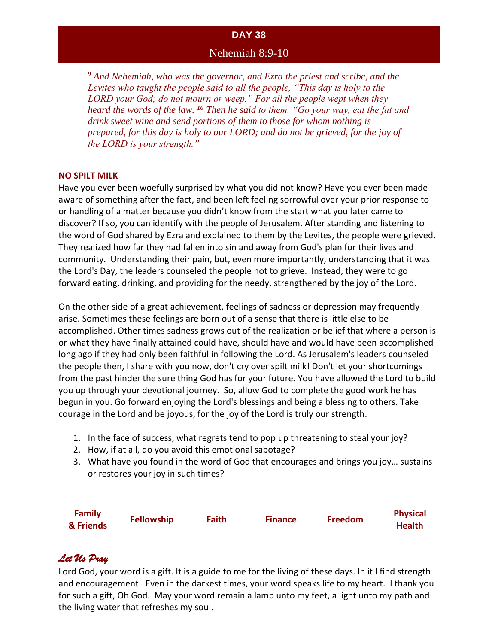#### Nehemiah 8:9-10

*<sup>9</sup> And Nehemiah, who was the governor, and Ezra the priest and scribe, and the Levites who taught the people said to all the people, "This day is holy to the LORD your God; do not mourn or weep." For all the people wept when they heard the words of the law. <sup>10</sup> Then he said to them, "Go your way, eat the fat and drink sweet wine and send portions of them to those for whom nothing is prepared, for this day is holy to our LORD; and do not be grieved, for the joy of the LORD is your strength."*

#### **NO SPILT MILK**

Have you ever been woefully surprised by what you did not know? Have you ever been made aware of something after the fact, and been left feeling sorrowful over your prior response to or handling of a matter because you didn't know from the start what you later came to discover? If so, you can identify with the people of Jerusalem. After standing and listening to the word of God shared by Ezra and explained to them by the Levites, the people were grieved. They realized how far they had fallen into sin and away from God's plan for their lives and community. Understanding their pain, but, even more importantly, understanding that it was the Lord's Day, the leaders counseled the people not to grieve. Instead, they were to go forward eating, drinking, and providing for the needy, strengthened by the joy of the Lord.

On the other side of a great achievement, feelings of sadness or depression may frequently arise. Sometimes these feelings are born out of a sense that there is little else to be accomplished. Other times sadness grows out of the realization or belief that where a person is or what they have finally attained could have, should have and would have been accomplished long ago if they had only been faithful in following the Lord. As Jerusalem's leaders counseled the people then, I share with you now, don't cry over spilt milk! Don't let your shortcomings from the past hinder the sure thing God has for your future. You have allowed the Lord to build you up through your devotional journey. So, allow God to complete the good work he has begun in you. Go forward enjoying the Lord's blessings and being a blessing to others. Take courage in the Lord and be joyous, for the joy of the Lord is truly our strength.

- 1. In the face of success, what regrets tend to pop up threatening to steal your joy?
- 2. How, if at all, do you avoid this emotional sabotage?
- 3. What have you found in the word of God that encourages and brings you joy… sustains or restores your joy in such times?



# *Let Us Pray*

Lord God, your word is a gift. It is a guide to me for the living of these days. In it I find strength and encouragement. Even in the darkest times, your word speaks life to my heart. I thank you for such a gift, Oh God. May your word remain a lamp unto my feet, a light unto my path and the living water that refreshes my soul.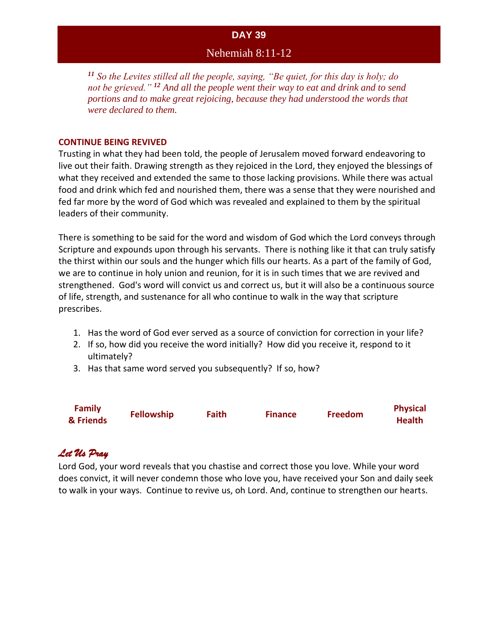# Nehemiah 8:11-12

*<sup>11</sup> So the Levites stilled all the people, saying, "Be quiet, for this day is holy; do not be grieved." <sup>12</sup> And all the people went their way to eat and drink and to send portions and to make great rejoicing, because they had understood the words that were declared to them.*

#### **CONTINUE BEING REVIVED**

Trusting in what they had been told, the people of Jerusalem moved forward endeavoring to live out their faith. Drawing strength as they rejoiced in the Lord, they enjoyed the blessings of what they received and extended the same to those lacking provisions. While there was actual food and drink which fed and nourished them, there was a sense that they were nourished and fed far more by the word of God which was revealed and explained to them by the spiritual leaders of their community.

There is something to be said for the word and wisdom of God which the Lord conveys through Scripture and expounds upon through his servants. There is nothing like it that can truly satisfy the thirst within our souls and the hunger which fills our hearts. As a part of the family of God, we are to continue in holy union and reunion, for it is in such times that we are revived and strengthened. God's word will convict us and correct us, but it will also be a continuous source of life, strength, and sustenance for all who continue to walk in the way that scripture prescribes.

- 1. Has the word of God ever served as a source of conviction for correction in your life?
- 2. If so, how did you receive the word initially? How did you receive it, respond to it ultimately?
- 3. Has that same word served you subsequently? If so, how?

| <b>Family</b> | <b>Fellowship</b> | <b>Faith</b> | <b>Finance</b> | <b>Freedom</b> | <b>Physical</b> |
|---------------|-------------------|--------------|----------------|----------------|-----------------|
| & Friends     |                   |              |                |                | <b>Health</b>   |

# *Let Us Pray*

Lord God, your word reveals that you chastise and correct those you love. While your word does convict, it will never condemn those who love you, have received your Son and daily seek to walk in your ways. Continue to revive us, oh Lord. And, continue to strengthen our hearts.